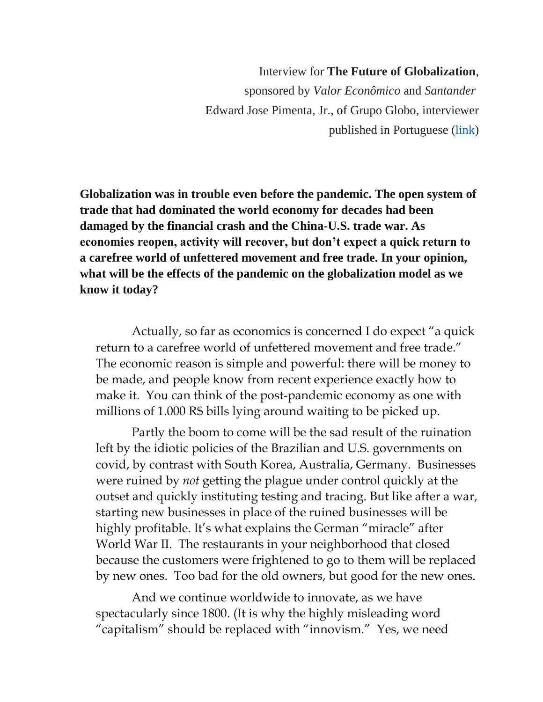Interview for **The Future of Globalization**, sponsored by *Valor Econômico* and *Santander* Edward Jose Pimenta, Jr., of Grupo Globo, interviewer published in Portuguese [\(link\)](https://valor.globo.com/patrocinado/santander/cidadao-global/noticia/2020/11/16/globalizacao-sera-retomada-sob-biden-afirma-mccloskey.ghtml)

**Globalization was in trouble even before the pandemic. The open system of trade that had dominated the world economy for decades had been damaged by the financial crash and the China-U.S. trade war. As economies reopen, activity will recover, but don't expect a quick return to a carefree world of unfettered movement and free trade. In your opinion, what will be the effects of the pandemic on the globalization model as we know it today?**

Actually, so far as economics is concerned I do expect "a quick return to a carefree world of unfettered movement and free trade." The economic reason is simple and powerful: there will be money to be made, and people know from recent experience exactly how to make it. You can think of the post-pandemic economy as one with millions of 1.000 R\$ bills lying around waiting to be picked up.

Partly the boom to come will be the sad result of the ruination left by the idiotic policies of the Brazilian and U.S. governments on covid, by contrast with South Korea, Australia, Germany. Businesses were ruined by *not* getting the plague under control quickly at the outset and quickly instituting testing and tracing. But like after a war, starting new businesses in place of the ruined businesses will be highly profitable. It's what explains the German "miracle" after World War II. The restaurants in your neighborhood that closed because the customers were frightened to go to them will be replaced by new ones. Too bad for the old owners, but good for the new ones.

And we continue worldwide to innovate, as we have spectacularly since 1800. (It is why the highly misleading word "capitalism" should be replaced with "innovism." Yes, we need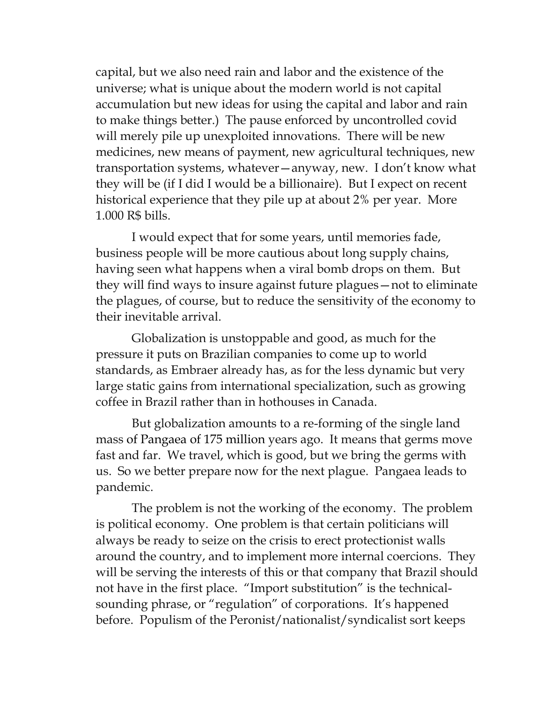capital, but we also need rain and labor and the existence of the universe; what is unique about the modern world is not capital accumulation but new ideas for using the capital and labor and rain to make things better.) The pause enforced by uncontrolled covid will merely pile up unexploited innovations. There will be new medicines, new means of payment, new agricultural techniques, new transportation systems, whatever—anyway, new. I don't know what they will be (if I did I would be a billionaire). But I expect on recent historical experience that they pile up at about 2% per year. More 1.000 R\$ bills.

I would expect that for some years, until memories fade, business people will be more cautious about long supply chains, having seen what happens when a viral bomb drops on them. But they will find ways to insure against future plagues—not to eliminate the plagues, of course, but to reduce the sensitivity of the economy to their inevitable arrival.

Globalization is unstoppable and good, as much for the pressure it puts on Brazilian companies to come up to world standards, as Embraer already has, as for the less dynamic but very large static gains from international specialization, such as growing coffee in Brazil rather than in hothouses in Canada.

But globalization amounts to a re-forming of the single land mass of Pangaea of 175 million years ago. It means that germs move fast and far. We travel, which is good, but we bring the germs with us. So we better prepare now for the next plague. Pangaea leads to pandemic.

The problem is not the working of the economy. The problem is political economy. One problem is that certain politicians will always be ready to seize on the crisis to erect protectionist walls around the country, and to implement more internal coercions. They will be serving the interests of this or that company that Brazil should not have in the first place. "Import substitution" is the technicalsounding phrase, or "regulation" of corporations. It's happened before. Populism of the Peronist/nationalist/syndicalist sort keeps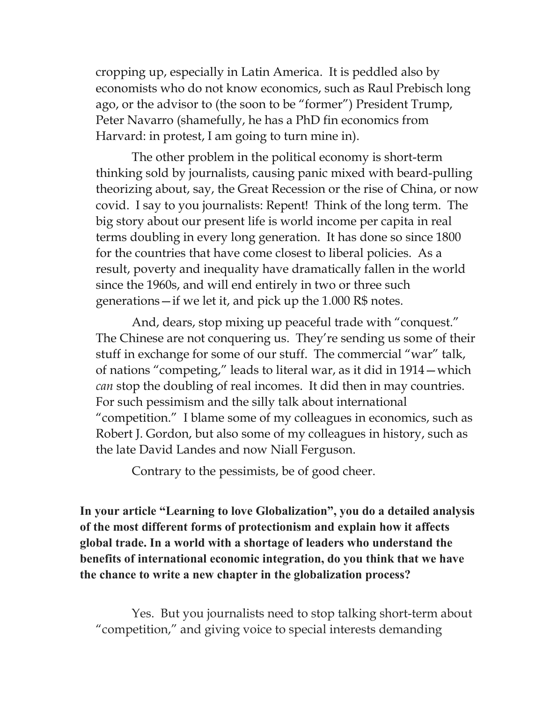cropping up, especially in Latin America. It is peddled also by economists who do not know economics, such as Raul Prebisch long ago, or the advisor to (the soon to be "former") President Trump, Peter Navarro (shamefully, he has a PhD fin economics from Harvard: in protest, I am going to turn mine in).

The other problem in the political economy is short-term thinking sold by journalists, causing panic mixed with beard-pulling theorizing about, say, the Great Recession or the rise of China, or now covid. I say to you journalists: Repent! Think of the long term. The big story about our present life is world income per capita in real terms doubling in every long generation. It has done so since 1800 for the countries that have come closest to liberal policies. As a result, poverty and inequality have dramatically fallen in the world since the 1960s, and will end entirely in two or three such generations—if we let it, and pick up the 1.000 R\$ notes.

And, dears, stop mixing up peaceful trade with "conquest." The Chinese are not conquering us. They're sending us some of their stuff in exchange for some of our stuff. The commercial "war" talk, of nations "competing," leads to literal war, as it did in 1914—which *can* stop the doubling of real incomes. It did then in may countries. For such pessimism and the silly talk about international "competition." I blame some of my colleagues in economics, such as Robert J. Gordon, but also some of my colleagues in history, such as the late David Landes and now Niall Ferguson.

Contrary to the pessimists, be of good cheer.

**In your article "Learning to love Globalization", you do a detailed analysis of the most different forms of protectionism and explain how it affects global trade. In a world with a shortage of leaders who understand the benefits of international economic integration, do you think that we have the chance to write a new chapter in the globalization process?**

Yes. But you journalists need to stop talking short-term about "competition," and giving voice to special interests demanding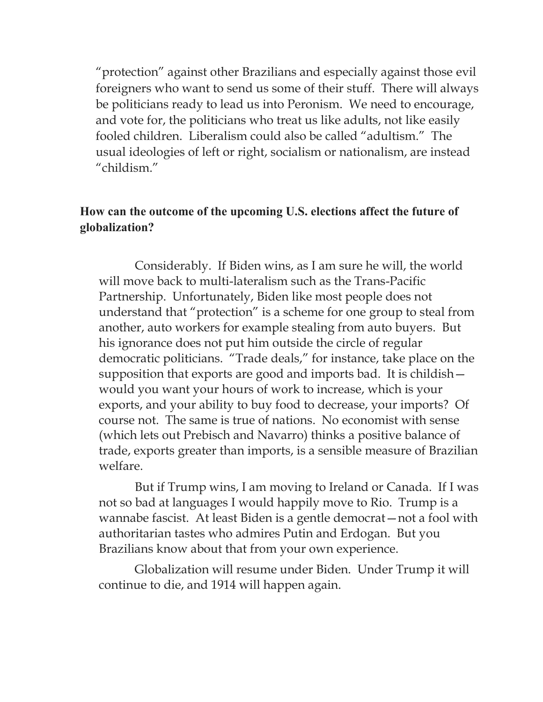"protection" against other Brazilians and especially against those evil foreigners who want to send us some of their stuff. There will always be politicians ready to lead us into Peronism. We need to encourage, and vote for, the politicians who treat us like adults, not like easily fooled children. Liberalism could also be called "adultism." The usual ideologies of left or right, socialism or nationalism, are instead "childism."

## **How can the outcome of the upcoming U.S. elections affect the future of globalization?**

Considerably. If Biden wins, as I am sure he will, the world will move back to multi-lateralism such as the Trans-Pacific Partnership. Unfortunately, Biden like most people does not understand that "protection" is a scheme for one group to steal from another, auto workers for example stealing from auto buyers. But his ignorance does not put him outside the circle of regular democratic politicians. "Trade deals," for instance, take place on the supposition that exports are good and imports bad. It is childish would you want your hours of work to increase, which is your exports, and your ability to buy food to decrease, your imports? Of course not. The same is true of nations. No economist with sense (which lets out Prebisch and Navarro) thinks a positive balance of trade, exports greater than imports, is a sensible measure of Brazilian welfare.

But if Trump wins, I am moving to Ireland or Canada. If I was not so bad at languages I would happily move to Rio. Trump is a wannabe fascist. At least Biden is a gentle democrat—not a fool with authoritarian tastes who admires Putin and Erdogan. But you Brazilians know about that from your own experience.

Globalization will resume under Biden. Under Trump it will continue to die, and 1914 will happen again.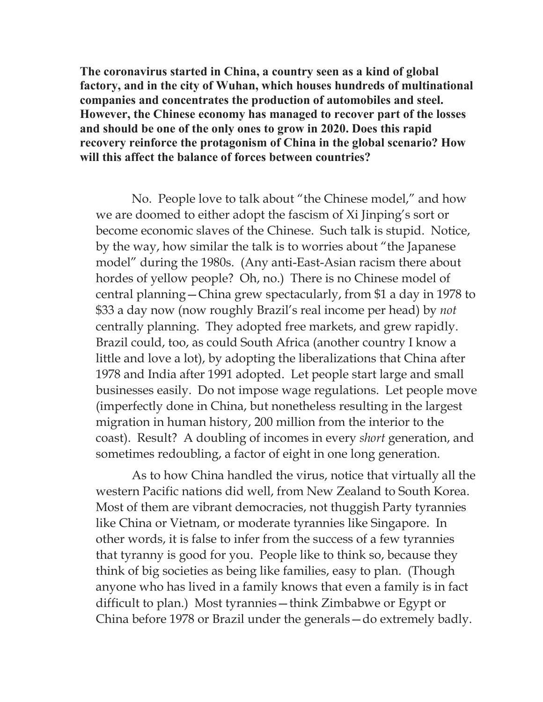**The coronavirus started in China, a country seen as a kind of global factory, and in the city of Wuhan, which houses hundreds of multinational companies and concentrates the production of automobiles and steel. However, the Chinese economy has managed to recover part of the losses and should be one of the only ones to grow in 2020. Does this rapid recovery reinforce the protagonism of China in the global scenario? How will this affect the balance of forces between countries?**

No. People love to talk about "the Chinese model," and how we are doomed to either adopt the fascism of Xi Jinping's sort or become economic slaves of the Chinese. Such talk is stupid. Notice, by the way, how similar the talk is to worries about "the Japanese model" during the 1980s. (Any anti-East-Asian racism there about hordes of yellow people? Oh, no.) There is no Chinese model of central planning—China grew spectacularly, from \$1 a day in 1978 to \$33 a day now (now roughly Brazil's real income per head) by *not* centrally planning. They adopted free markets, and grew rapidly. Brazil could, too, as could South Africa (another country I know a little and love a lot), by adopting the liberalizations that China after 1978 and India after 1991 adopted. Let people start large and small businesses easily. Do not impose wage regulations. Let people move (imperfectly done in China, but nonetheless resulting in the largest migration in human history, 200 million from the interior to the coast). Result? A doubling of incomes in every *short* generation, and sometimes redoubling, a factor of eight in one long generation.

As to how China handled the virus, notice that virtually all the western Pacific nations did well, from New Zealand to South Korea. Most of them are vibrant democracies, not thuggish Party tyrannies like China or Vietnam, or moderate tyrannies like Singapore. In other words, it is false to infer from the success of a few tyrannies that tyranny is good for you. People like to think so, because they think of big societies as being like families, easy to plan. (Though anyone who has lived in a family knows that even a family is in fact difficult to plan.) Most tyrannies—think Zimbabwe or Egypt or China before 1978 or Brazil under the generals—do extremely badly.